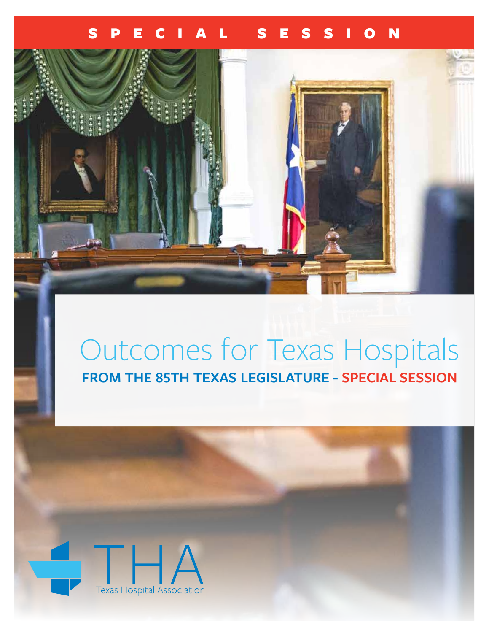### SPECIAL SESSION



# Outcomes for Texas Hospitals **FROM THE 85TH TEXAS LEGISLATURE - SPECIAL SESSION**

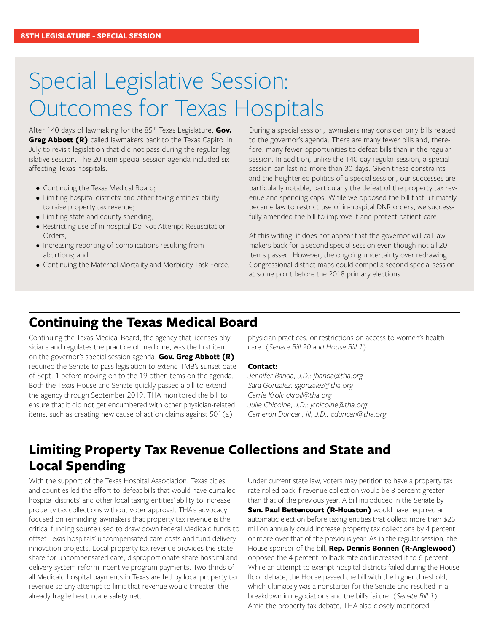## Special Legislative Session: Outcomes for Texas Hospitals

After 140 days of lawmaking for the 85th Texas Legislature, **Gov. Greg Abbott (R)** called lawmakers back to the Texas Capitol in July to revisit legislation that did not pass during the regular legislative session. The 20-item special session agenda included six affecting Texas hospitals:

- Continuing the Texas Medical Board;
- Limiting hospital districts' and other taxing entities' ability to raise property tax revenue;
- Limiting state and county spending;
- Restricting use of in-hospital Do-Not-Attempt-Resuscitation Orders;
- Increasing reporting of complications resulting from abortions; and
- Continuing the Maternal Mortality and Morbidity Task Force.

During a special session, lawmakers may consider only bills related to the governor's agenda. There are many fewer bills and, therefore, many fewer opportunities to defeat bills than in the regular session. In addition, unlike the 140-day regular session, a special session can last no more than 30 days. Given these constraints and the heightened politics of a special session, our successes are particularly notable, particularly the defeat of the property tax revenue and spending caps. While we opposed the bill that ultimately became law to restrict use of in-hospital DNR orders, we successfully amended the bill to improve it and protect patient care.

At this writing, it does not appear that the governor will call lawmakers back for a second special session even though not all 20 items passed. However, the ongoing uncertainty over redrawing Congressional district maps could compel a second special session at some point before the 2018 primary elections.

### **Continuing the Texas Medical Board**

Continuing the Texas Medical Board, the agency that licenses physicians and regulates the practice of medicine, was the first item on the governor's special session agenda. **Gov. Greg Abbott (R)**  required the Senate to pass legislation to extend TMB's sunset date of Sept. 1 before moving on to the 19 other items on the agenda. Both the Texas House and Senate quickly passed a bill to extend the agency through September 2019. THA monitored the bill to ensure that it did not get encumbered with other physician-related items, such as creating new cause of action claims against 501(a)

physician practices, or restrictions on access to women's health care. *(Senate Bill 20 and House Bill 1)*

#### **Contact:**

*Jennifer Banda, J.D.: jbanda@tha.org Sara Gonzalez: sgonzalez@tha.org Carrie Kroll: ckroll@tha.org Julie Chicoine, J.D.: jchicoine@tha.org Cameron Duncan, III, J.D.: cduncan@tha.org*

### **Limiting Property Tax Revenue Collections and State and Local Spending**

With the support of the Texas Hospital Association, Texas cities and counties led the effort to defeat bills that would have curtailed hospital districts' and other local taxing entities' ability to increase property tax collections without voter approval. THA's advocacy focused on reminding lawmakers that property tax revenue is the critical funding source used to draw down federal Medicaid funds to offset Texas hospitals' uncompensated care costs and fund delivery innovation projects. Local property tax revenue provides the state share for uncompensated care, disproportionate share hospital and delivery system reform incentive program payments. Two-thirds of all Medicaid hospital payments in Texas are fed by local property tax revenue so any attempt to limit that revenue would threaten the already fragile health care safety net.

Under current state law, voters may petition to have a property tax rate rolled back if revenue collection would be 8 percent greater than that of the previous year. A bill introduced in the Senate by **Sen. Paul Bettencourt (R-Houston)** would have required an automatic election before taxing entities that collect more than \$25 million annually could increase property tax collections by 4 percent or more over that of the previous year. As in the regular session, the House sponsor of the bill, **Rep. Dennis Bonnen (R-Anglewood)** opposed the 4 percent rollback rate and increased it to 6 percent. While an attempt to exempt hospital districts failed during the House floor debate, the House passed the bill with the higher threshold, which ultimately was a nonstarter for the Senate and resulted in a breakdown in negotiations and the bill's failure. *(Senate Bill 1)* Amid the property tax debate, THA also closely monitored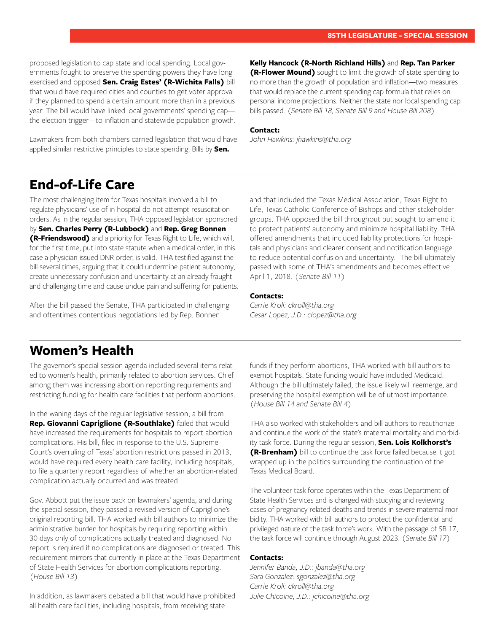proposed legislation to cap state and local spending. Local governments fought to preserve the spending powers they have long exercised and opposed **Sen. Craig Estes' (R-Wichita Falls)** bill that would have required cities and counties to get voter approval if they planned to spend a certain amount more than in a previous year. The bill would have linked local governments' spending cap the election trigger—to inflation and statewide population growth.

Lawmakers from both chambers carried legislation that would have applied similar restrictive principles to state spending. Bills by **Sen.** 

**Kelly Hancock (R-North Richland Hills)** and **Rep. Tan Parker (R-Flower Mound)** sought to limit the growth of state spending to no more than the growth of population and inflation—two measures that would replace the current spending cap formula that relies on personal income projections. Neither the state nor local spending cap bills passed. *(Senate Bill 18, Senate Bill 9 and House Bill 208)*

#### **Contact:**

*John Hawkins: jhawkins@tha.org*

### **End-of-Life Care**

The most challenging item for Texas hospitals involved a bill to regulate physicians' use of in-hospital do-not-attempt-resuscitation orders. As in the regular session, THA opposed legislation sponsored by **Sen. Charles Perry (R-Lubbock)** and **Rep. Greg Bonnen (R-Friendswood)** and a priority for Texas Right to Life, which will, for the first time, put into state statute when a medical order, in this case a physician-issued DNR order, is valid. THA testified against the bill several times, arguing that it could undermine patient autonomy, create unnecessary confusion and uncertainty at an already fraught and challenging time and cause undue pain and suffering for patients.

After the bill passed the Senate, THA participated in challenging and oftentimes contentious negotiations led by Rep. Bonnen

and that included the Texas Medical Association, Texas Right to Life, Texas Catholic Conference of Bishops and other stakeholder groups. THA opposed the bill throughout but sought to amend it to protect patients' autonomy and minimize hospital liability. THA offered amendments that included liability protections for hospitals and physicians and clearer consent and notification language to reduce potential confusion and uncertainty. The bill ultimately passed with some of THA's amendments and becomes effective April 1, 2018. *(Senate Bill 11)*

#### **Contacts:**

*Carrie Kroll: ckroll@tha.org Cesar Lopez, J.D.: clopez@tha.org* 

### **Women's Health**

The governor's special session agenda included several items related to women's health, primarily related to abortion services. Chief among them was increasing abortion reporting requirements and restricting funding for health care facilities that perform abortions.

In the waning days of the regular legislative session, a bill from **Rep. Giovanni Capriglione (R-Southlake)** failed that would have increased the requirements for hospitals to report abortion complications. His bill, filed in response to the U.S. Supreme Court's overruling of Texas' abortion restrictions passed in 2013, would have required every health care facility, including hospitals, to file a quarterly report regardless of whether an abortion-related complication actually occurred and was treated.

Gov. Abbott put the issue back on lawmakers' agenda, and during the special session, they passed a revised version of Capriglione's original reporting bill. THA worked with bill authors to minimize the administrative burden for hospitals by requiring reporting within 30 days only of complications actually treated and diagnosed. No report is required if no complications are diagnosed or treated. This requirement mirrors that currently in place at the Texas Department of State Health Services for abortion complications reporting. *(House Bill 13)*

In addition, as lawmakers debated a bill that would have prohibited all health care facilities, including hospitals, from receiving state

funds if they perform abortions, THA worked with bill authors to exempt hospitals. State funding would have included Medicaid. Although the bill ultimately failed, the issue likely will reemerge, and preserving the hospital exemption will be of utmost importance. *(House Bill 14 and Senate Bill 4)*

THA also worked with stakeholders and bill authors to reauthorize and continue the work of the state's maternal mortality and morbidity task force. During the regular session, **Sen. Lois Kolkhorst's (R-Brenham)** bill to continue the task force failed because it got wrapped up in the politics surrounding the continuation of the Texas Medical Board.

The volunteer task force operates within the Texas Department of State Health Services and is charged with studying and reviewing cases of pregnancy-related deaths and trends in severe maternal morbidity. THA worked with bill authors to protect the confidential and privileged nature of the task force's work. With the passage of SB 17, the task force will continue through August 2023. *(Senate Bill 17)*

#### **Contacts:**

*Jennifer Banda, J.D.: jbanda@tha.org Sara Gonzalez: sgonzalez@tha.org Carrie Kroll: ckroll@tha.org Julie Chicoine, J.D.: jchicoine@tha.org*